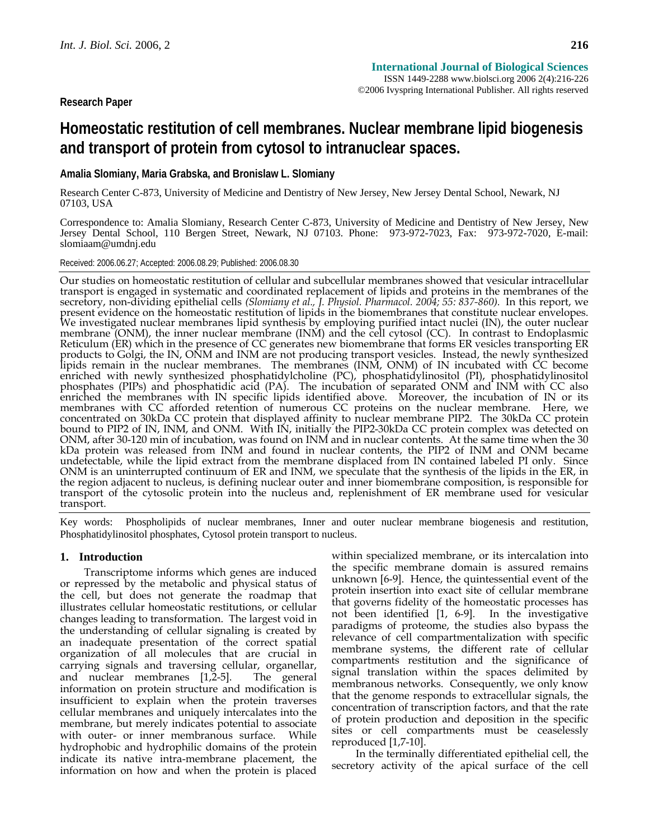**Research Paper** 

# **Homeostatic restitution of cell membranes. Nuclear membrane lipid biogenesis and transport of protein from cytosol to intranuclear spaces.**

# **Amalia Slomiany, Maria Grabska, and Bronislaw L. Slomiany**

Research Center C-873, University of Medicine and Dentistry of New Jersey, New Jersey Dental School, Newark, NJ 07103, USA

Correspondence to: Amalia Slomiany, Research Center C-873, University of Medicine and Dentistry of New Jersey, New Jersey Dental School, 110 Bergen Street, Newark, NJ 07103. Phone: 973-972-7023, Fax: 973-972-7020, E-mail: slomiaam@umdnj.edu

#### Received: 2006.06.27; Accepted: 2006.08.29; Published: 2006.08.30

Our studies on homeostatic restitution of cellular and subcellular membranes showed that vesicular intracellular transport is engaged in systematic and coordinated replacement of lipids and proteins in the membranes of the secretory, non-dividing epithelial cells *(Slomiany et al., J. Physiol. Pharmacol. 2004; 55: 837-860)*. In this report, we present evidence on the homeostatic restitution of lipids in the biomembranes that constitute nucle We investigated nuclear membranes lipid synthesis by employing purified intact nuclei (IN), the outer nuclear membrane (ONM), the inner nuclear membrane (INM) and the cell cytosol (CC). In contrast to Endoplasmic Reticulum (ER) which in the presence of CC generates new biomembrane that forms ER vesicles transporting ER products to Golgi, the IN, ONM and INM are not producing transport vesicles. Instead, the newly synthesized lipids remain in the nuclear membranes. The membranes (INM, ONM) of IN incubated with CC become enriched with newly synthesized phosphatidylcholine (PC), phosphatidylinositol (PI), phosphatidylinositol phosphates (PIPs) and phosphatidic acid (PA). The incubation of separated ONM and INM with CC also enriched the membranes with IN specific lipids identified above. Moreover, the incubation of IN or its membranes with CC afforded retention of numerous CC proteins on the nuclear membrane. Here, we concentrated on 30kDa CC protein that displayed affinity to nuclear membrane PIP2. The 30kDa CC protein bound to PIP2 of IN, INM, and ONM. With IN, initially the PIP2-30kDa CC protein complex was detected on ONM, after 30-120 min of incubation, was found on INM and in nuclear contents. At the same time when the 30 kDa protein was released from INM and found in nuclear contents, the PIP2 of INM and ONM became undefectable, while the lipid extract from the membrane displaced from IN contained labeled PI only. Since ONM is an uninterrupted continuum of ER and INM, we speculate that the synthesis of the lipids in the ER, in the region adjacent to nucleus, is defining nuclear outer and inner biomembrane composition, is responsible for transport of the cytosolic protein into the nucleus and, replenishment of ER membrane used for vesicular transport.

Key words: Phospholipids of nuclear membranes, Inner and outer nuclear membrane biogenesis and restitution, Phosphatidylinositol phosphates, Cytosol protein transport to nucleus.

# **1. Introduction**

Transcriptome informs which genes are induced or repressed by the metabolic and physical status of the cell, but does not generate the roadmap that illustrates cellular homeostatic restitutions, or cellular changes leading to transformation. The largest void in the understanding of cellular signaling is created by an inadequate presentation of the correct spatial organization of all molecules that are crucial in carrying signals and traversing cellular, organellar, and nuclear membranes [1,2-5]. The general information on protein structure and modification is insufficient to explain when the protein traverses cellular membranes and uniquely intercalates into the membrane, but merely indicates potential to associate with outer- or inner membranous surface. While hydrophobic and hydrophilic domains of the protein indicate its native intra-membrane placement, the information on how and when the protein is placed

within specialized membrane, or its intercalation into the specific membrane domain is assured remains unknown [6-9]. Hence, the quintessential event of the protein insertion into exact site of cellular membrane that governs fidelity of the homeostatic processes has not been identified [1, 6-9]. In the investigative paradigms of proteome, the studies also bypass the relevance of cell compartmentalization with specific membrane systems, the different rate of cellular compartments restitution and the significance of signal translation within the spaces delimited by membranous networks. Consequently, we only know that the genome responds to extracellular signals, the concentration of transcription factors, and that the rate of protein production and deposition in the specific sites or cell compartments must be ceaselessly reproduced [1,7-10].

In the terminally differentiated epithelial cell, the secretory activity of the apical surface of the cell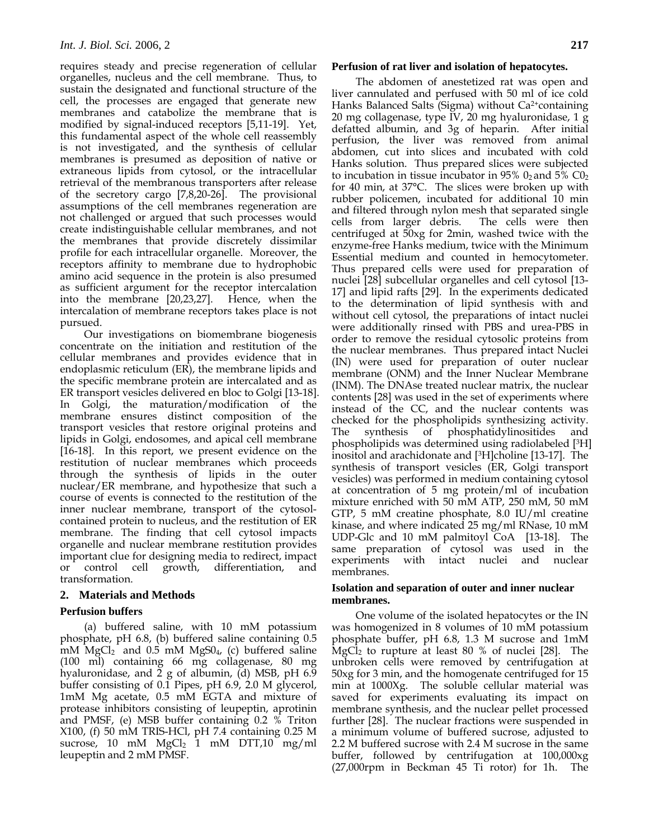requires steady and precise regeneration of cellular organelles, nucleus and the cell membrane. Thus, to sustain the designated and functional structure of the cell, the processes are engaged that generate new membranes and catabolize the membrane that is modified by signal-induced receptors [5,11-19]. Yet, this fundamental aspect of the whole cell reassembly is not investigated, and the synthesis of cellular membranes is presumed as deposition of native or extraneous lipids from cytosol, or the intracellular retrieval of the membranous transporters after release of the secretory cargo [7,8,20-26]. The provisional assumptions of the cell membranes regeneration are not challenged or argued that such processes would create indistinguishable cellular membranes, and not the membranes that provide discretely dissimilar profile for each intracellular organelle. Moreover, the receptors affinity to membrane due to hydrophobic amino acid sequence in the protein is also presumed as sufficient argument for the receptor intercalation into the membrane [20,23,27]. Hence, when the intercalation of membrane receptors takes place is not pursued.

Our investigations on biomembrane biogenesis concentrate on the initiation and restitution of the cellular membranes and provides evidence that in endoplasmic reticulum (ER), the membrane lipids and the specific membrane protein are intercalated and as ER transport vesicles delivered en bloc to Golgi [13-18]. In Golgi, the maturation/modification of the membrane ensures distinct composition of the transport vesicles that restore original proteins and lipids in Golgi, endosomes, and apical cell membrane [16-18]. In this report, we present evidence on the restitution of nuclear membranes which proceeds through the synthesis of lipids in the outer nuclear/ER membrane, and hypothesize that such a course of events is connected to the restitution of the inner nuclear membrane, transport of the cytosolcontained protein to nucleus, and the restitution of ER membrane. The finding that cell cytosol impacts organelle and nuclear membrane restitution provides important clue for designing media to redirect, impact or control cell growth, differentiation, and transformation.

## **2. Materials and Methods**

# **Perfusion buffers**

(a) buffered saline, with 10 mM potassium phosphate, pH 6.8, (b) buffered saline containing 0.5 mM  $MgCl<sub>2</sub>$  and 0.5 mM  $MgS0<sub>4</sub>$ , (c) buffered saline (100 ml) containing 66 mg collagenase, 80 mg hyaluronidase, and 2 g of albumin, (d) MSB, pH 6.9 buffer consisting of 0.1 Pipes, pH 6.9, 2.0 M glycerol, 1mM Mg acetate, 0.5 mM EGTA and mixture of protease inhibitors consisting of leupeptin, aprotinin and PMSF, (e) MSB buffer containing 0.2 % Triton X100, (f) 50 mM TRIS-HCl, pH 7.4 containing 0.25 M sucrose, 10 mM  $MgCl<sub>2</sub>$  1 mM DTT,10 mg/ml leupeptin and 2 mM PMSF.

#### **Perfusion of rat liver and isolation of hepatocytes.**

The abdomen of anestetized rat was open and liver cannulated and perfused with 50 ml of ice cold Hanks Balanced Salts (Sigma) without Ca2+containing 20 mg collagenase, type IV, 20 mg hyaluronidase, 1 g defatted albumin, and 3g of heparin. After initial perfusion, the liver was removed from animal abdomen, cut into slices and incubated with cold Hanks solution. Thus prepared slices were subjected to incubation in tissue incubator in 95%  $0_2$  and 5%  $\text{C}0_2$ for 40 min, at 37°C. The slices were broken up with rubber policemen, incubated for additional 10 min and filtered through nylon mesh that separated single cells from larger debris. The cells were then centrifuged at 50xg for 2min, washed twice with the enzyme-free Hanks medium, twice with the Minimum Essential medium and counted in hemocytometer. Thus prepared cells were used for preparation of nuclei [28] subcellular organelles and cell cytosol [13- 17] and lipid rafts [29]. In the experiments dedicated to the determination of lipid synthesis with and without cell cytosol, the preparations of intact nuclei were additionally rinsed with PBS and urea-PBS in order to remove the residual cytosolic proteins from the nuclear membranes. Thus prepared intact Nuclei (IN) were used for preparation of outer nuclear membrane (ONM) and the Inner Nuclear Membrane (INM). The DNAse treated nuclear matrix, the nuclear contents [28] was used in the set of experiments where instead of the CC, and the nuclear contents was checked for the phospholipids synthesizing activity. The synthesis of phosphatidylinositides and phospholipids was determined using radiolabeled [3H] inositol and arachidonate and [3H]choline [13-17]. The synthesis of transport vesicles (ER, Golgi transport vesicles) was performed in medium containing cytosol at concentration of 5 mg protein/ml of incubation mixture enriched with 50 mM ATP, 250 mM, 50 mM GTP, 5 mM creatine phosphate, 8.0 IU/ml creatine kinase, and where indicated 25 mg/ml RNase, 10 mM UDP-Glc and 10 mM palmitoyl CoA [13-18]. The same preparation of cytosol was used in the experiments with intact nuclei and nuclear membranes.

# **Isolation and separation of outer and inner nuclear membranes.**

One volume of the isolated hepatocytes or the IN was homogenized in 8 volumes of 10 mM potassium phosphate buffer, pH 6.8, 1.3 M sucrose and 1mM  $MgCl<sub>2</sub>$  to rupture at least 80 % of nuclei [28]. The unbroken cells were removed by centrifugation at 50xg for 3 min, and the homogenate centrifuged for 15 min at 1000Xg. The soluble cellular material was saved for experiments evaluating its impact on membrane synthesis, and the nuclear pellet processed further [28]. The nuclear fractions were suspended in a minimum volume of buffered sucrose, adjusted to 2.2 M buffered sucrose with 2.4 M sucrose in the same buffer, followed by centrifugation at 100,000xg (27,000rpm in Beckman 45 Ti rotor) for 1h. The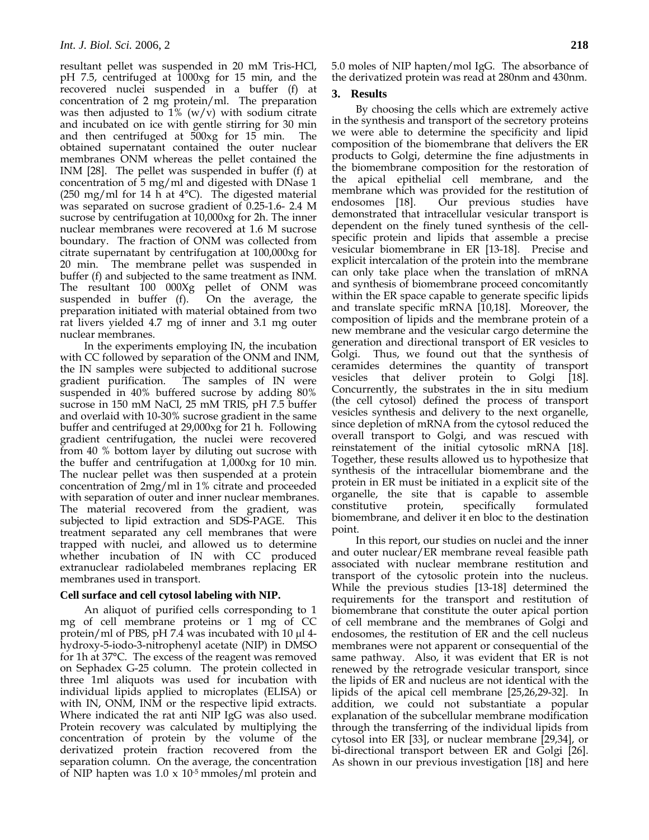resultant pellet was suspended in 20 mM Tris-HCl, pH 7.5, centrifuged at 1000xg for 15 min, and the recovered nuclei suspended in a buffer (f) at concentration of 2 mg protein/ml. The preparation was then adjusted to  $1\%$  (w/v) with sodium citrate and incubated on ice with gentle stirring for 30 min and then centrifuged at 500xg for 15 min. The obtained supernatant contained the outer nuclear membranes ONM whereas the pellet contained the INM [28]. The pellet was suspended in buffer (f) at concentration of 5 mg/ml and digested with DNase 1 (250 mg/ml for 14 h at 4°C). The digested material was separated on sucrose gradient of 0.25-1.6- 2.4 M sucrose by centrifugation at 10,000xg for 2h. The inner nuclear membranes were recovered at 1.6 M sucrose boundary. The fraction of ONM was collected from citrate supernatant by centrifugation at 100,000xg for 20 min. The membrane pellet was suspended in buffer (f) and subjected to the same treatment as INM. The resultant 100 000Xg pellet of ONM was suspended in buffer (f). On the average, the preparation initiated with material obtained from two rat livers yielded 4.7 mg of inner and 3.1 mg outer nuclear membranes.

In the experiments employing IN, the incubation with CC followed by separation of the ONM and INM, the IN samples were subjected to additional sucrose gradient purification. The samples of IN were suspended in 40% buffered sucrose by adding 80% sucrose in 150 mM NaCl, 25 mM TRIS, pH 7.5 buffer and overlaid with 10-30% sucrose gradient in the same buffer and centrifuged at 29,000xg for 21 h. Following gradient centrifugation, the nuclei were recovered from 40 % bottom layer by diluting out sucrose with the buffer and centrifugation at 1,000xg for 10 min. The nuclear pellet was then suspended at a protein concentration of 2mg/ml in 1% citrate and proceeded with separation of outer and inner nuclear membranes. The material recovered from the gradient, was subjected to lipid extraction and SDS-PAGE. This treatment separated any cell membranes that were trapped with nuclei, and allowed us to determine whether incubation of IN with CC produced extranuclear radiolabeled membranes replacing ER membranes used in transport.

## **Cell surface and cell cytosol labeling with NIP.**

An aliquot of purified cells corresponding to 1 mg of cell membrane proteins or 1 mg of CC protein/ml of PBS, pH 7.4 was incubated with 10 μl 4 hydroxy-5-iodo-3-nitrophenyl acetate (NIP) in DMSO for 1h at 37°C. The excess of the reagent was removed on Sephadex G-25 column. The protein collected in three 1ml aliquots was used for incubation with individual lipids applied to microplates (ELISA) or with IN, ONM, INM or the respective lipid extracts. Where indicated the rat anti NIP IgG was also used. Protein recovery was calculated by multiplying the concentration of protein by the volume of the derivatized protein fraction recovered from the separation column. On the average, the concentration of NIP hapten was  $1.0 \times 10^{-5}$  mmoles/ml protein and 5.0 moles of NIP hapten/mol IgG. The absorbance of the derivatized protein was read at 280nm and 430nm.

## **3. Results**

By choosing the cells which are extremely active in the synthesis and transport of the secretory proteins we were able to determine the specificity and lipid composition of the biomembrane that delivers the ER products to Golgi, determine the fine adjustments in the biomembrane composition for the restoration of the apical epithelial cell membrane, and the membrane which was provided for the restitution of endosomes [18].Our previous studies have demonstrated that intracellular vesicular transport is dependent on the finely tuned synthesis of the cellspecific protein and lipids that assemble a precise vesicular biomembrane in ER [13-18]. Precise and explicit intercalation of the protein into the membrane can only take place when the translation of mRNA and synthesis of biomembrane proceed concomitantly within the ER space capable to generate specific lipids and translate specific mRNA [10,18]. Moreover, the composition of lipids and the membrane protein of a new membrane and the vesicular cargo determine the generation and directional transport of ER vesicles to Golgi. Thus, we found out that the synthesis of ceramides determines the quantity of transport vesicles that deliver protein to Golgi [18]. Concurrently, the substrates in the in situ medium (the cell cytosol) defined the process of transport vesicles synthesis and delivery to the next organelle, since depletion of mRNA from the cytosol reduced the overall transport to Golgi, and was rescued with reinstatement of the initial cytosolic mRNA [18]. Together, these results allowed us to hypothesize that synthesis of the intracellular biomembrane and the protein in ER must be initiated in a explicit site of the organelle, the site that is capable to assemble constitutive protein, specifically formulated biomembrane, and deliver it en bloc to the destination point.

In this report, our studies on nuclei and the inner and outer nuclear/ER membrane reveal feasible path associated with nuclear membrane restitution and transport of the cytosolic protein into the nucleus. While the previous studies [13-18] determined the requirements for the transport and restitution of biomembrane that constitute the outer apical portion of cell membrane and the membranes of Golgi and endosomes, the restitution of ER and the cell nucleus membranes were not apparent or consequential of the same pathway. Also, it was evident that ER is not renewed by the retrograde vesicular transport, since the lipids of ER and nucleus are not identical with the lipids of the apical cell membrane [25,26,29-32]. In addition, we could not substantiate a popular explanation of the subcellular membrane modification through the transferring of the individual lipids from cytosol into ER [33], or nuclear membrane [29,34], or bi-directional transport between ER and Golgi [26]. As shown in our previous investigation [18] and here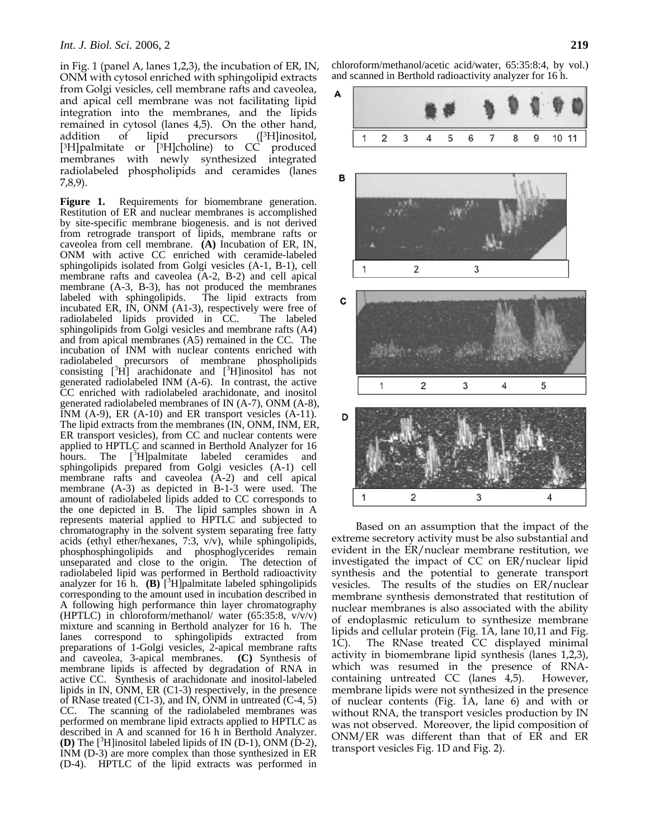in Fig. 1 (panel A, lanes 1,2,3), the incubation of ER, IN, ONM with cytosol enriched with sphingolipid extracts from Golgi vesicles, cell membrane rafts and caveolea, and apical cell membrane was not facilitating lipid integration into the membranes, and the lipids remained in cytosol (lanes 4,5). On the other hand, addition of lipid precursors ([3H]inositol, [3H]palmitate or [3H]choline) to CC produced membranes with newly synthesized integrated radiolabeled phospholipids and ceramides (lanes 7,8,9).

Figure 1. Requirements for biomembrane generation. Restitution of ER and nuclear membranes is accomplished by site-specific membrane biogenesis. and is not derived from retrograde transport of lipids, membrane rafts or caveolea from cell membrane. **(A)** Incubation of ER, IN, ONM with active CC enriched with ceramide-labeled sphingolipids isolated from Golgi vesicles (A-1, B-1), cell membrane rafts and caveolea (A-2, B-2) and cell apical membrane (A-3, B-3), has not produced the membranes<br>labeled with sphingolipids. The lipid extracts from labeled with sphingolipids. incubated ER, IN, ONM (A1-3), respectively were free of radiolabeled lipids provided in CC. The labeled sphingolipids from Golgi vesicles and membrane rafts (A4) and from apical membranes (A5) remained in the CC. The incubation of INM with nuclear contents enriched with radiolabeled precursors of membrane phospholipids consisting  $[{}^{3}\text{H}]$  arachidonate and  $[{}^{3}\text{H}]$ inositol has not generated radiolabeled INM (A-6). In contrast, the active CC enriched with radiolabeled arachidonate, and inositol generated radiolabeled membranes of IN (A-7), ONM (A-8), INM (A-9), ER (A-10) and ER transport vesicles (A-11). The lipid extracts from the membranes (IN, ONM, INM, ER, ER transport vesicles), from CC and nuclear contents were applied to HPTLC and scanned in Berthold Analyzer for 16 hours. The  $\left[\begin{array}{cc} \frac{3}{2} \\ \frac{1}{2} \end{array}\right]$  palmitate labeled ceramides and sphingolipids prepared from Golgi vesicles (A-1) cell membrane rafts and caveolea (A-2) and cell apical membrane (A-3) as depicted in B-1-3 were used. The amount of radiolabeled lipids added to CC corresponds to the one depicted in B. The lipid samples shown in A represents material applied to HPTLC and subjected to chromatography in the solvent system separating free fatty acids (ethyl ether/hexanes, 7:3, v/v), while sphingolipids, phosphosphingolipids and phosphoglycerides remain unseparated and close to the origin. The detection of radiolabeled lipid was performed in Berthold radioactivity analyzer for  $16$  h. **(B)**  $[3]$ H]palmitate labeled sphingolipids corresponding to the amount used in incubation described in A following high performance thin layer chromatography (HPTLC) in chloroform/methanol/ water (65:35:8, v/v/v) mixture and scanning in Berthold analyzer for 16 h. The lanes correspond to sphingolipids extracted from preparations of 1-Golgi vesicles, 2-apical membrane rafts and caveolea, 3-apical membranes. **(C)** Synthesis of membrane lipids is affected by degradation of RNA in active CC. Synthesis of arachidonate and inositol-labeled lipids in IN, ONM, ER (C1-3) respectively, in the presence of RNase treated (C1-3), and IN, ONM in untreated (C-4, 5) CC. The scanning of the radiolabeled membranes was performed on membrane lipid extracts applied to HPTLC as described in A and scanned for 16 h in Berthold Analyzer. **(D)** The  $[^{3}$ H]inositol labeled lipids of IN (D-1), ONM (D-2), INM (D-3) are more complex than those synthesized in ER (D-4). HPTLC of the lipid extracts was performed in

chloroform/methanol/acetic acid/water, 65:35:8:4, by vol.) and scanned in Berthold radioactivity analyzer for 16 h.



Based on an assumption that the impact of the extreme secretory activity must be also substantial and evident in the ER/nuclear membrane restitution, we investigated the impact of CC on ER/nuclear lipid synthesis and the potential to generate transport vesicles. The results of the studies on ER/nuclear membrane synthesis demonstrated that restitution of nuclear membranes is also associated with the ability of endoplasmic reticulum to synthesize membrane lipids and cellular protein (Fig. 1A, lane 10,11 and Fig. 1C). The RNase treated CC displayed minimal activity in biomembrane lipid synthesis (lanes 1,2,3), which was resumed in the presence of RNAcontaining untreated CC (lanes 4,5). However, membrane lipids were not synthesized in the presence of nuclear contents (Fig. 1A, lane 6) and with or without RNA, the transport vesicles production by IN was not observed. Moreover, the lipid composition of ONM/ER was different than that of ER and ER transport vesicles Fig. 1D and Fig. 2).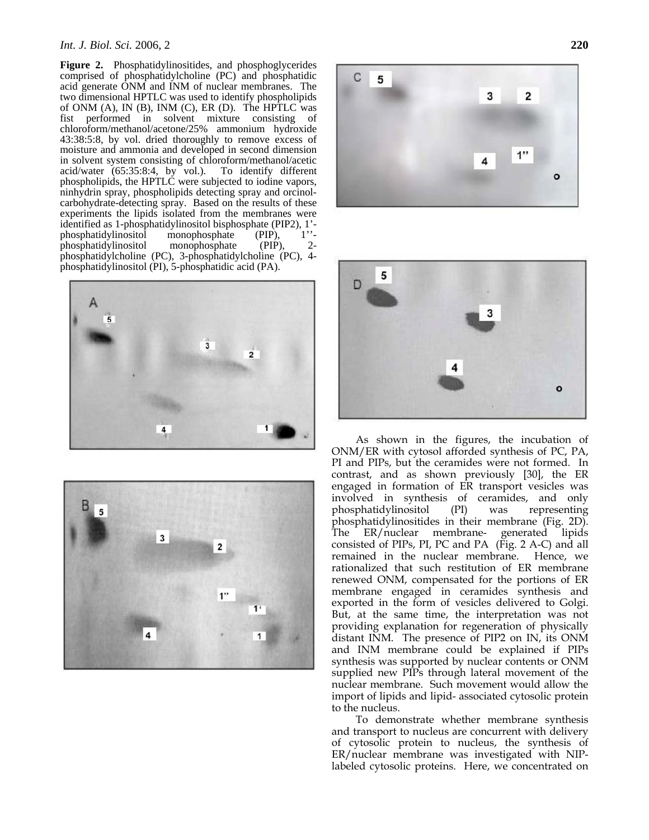#### *Int. J. Biol. Sci.* 2006, 2 **220**

**Figure 2.** Phosphatidylinositides, and phosphoglycerides comprised of phosphatidylcholine (PC) and phosphatidic acid generate ONM and INM of nuclear membranes. The two dimensional HPTLC was used to identify phospholipids of ONM  $(A)$ , IN  $(B)$ , INM  $(C)$ , ER  $(D)$ . The HPTLC was fist performed in solvent mixture consisting of chloroform/methanol/acetone/25% ammonium hydroxide 43:38:5:8, by vol. dried thoroughly to remove excess of moisture and ammonia and developed in second dimension in solvent system consisting of chloroform/methanol/acetic acid/water (65:35:8:4, by vol.). To identify different phospholipids, the HPTLC were subjected to iodine vapors, ninhydrin spray, phospholipids detecting spray and orcinolcarbohydrate-detecting spray. Based on the results of these experiments the lipids isolated from the membranes were identified as 1-phosphatidylinositol bisphosphate (PIP2), 1'-<br>phosphatidylinositol monophosphate (PIP), 1''phosphatidylinositol monophosphate (PIP), phosphatidylinositol monophosphate (PIP), phosphatidylcholine (PC), 3-phosphatidylcholine (PC), 4 phosphatidylinositol (PI), 5-phosphatidic acid (PA).

![](_page_4_Picture_2.jpeg)

![](_page_4_Picture_3.jpeg)

![](_page_4_Figure_5.jpeg)

![](_page_4_Picture_6.jpeg)

As shown in the figures, the incubation of ONM/ER with cytosol afforded synthesis of PC, PA, PI and PIPs, but the ceramides were not formed. In contrast, and as shown previously [30], the ER engaged in formation of ER transport vesicles was involved in synthesis of ceramides, and only phosphatidylinositol (PI) was representing phosphatidylinositides in their membrane (Fig. 2D). The ER/nuclear membrane- generated lipids consisted of PIPs, PI, PC and PA (Fig. 2 A-C) and all remained in the nuclear membrane. Hence, we rationalized that such restitution of ER membrane renewed ONM, compensated for the portions of ER membrane engaged in ceramides synthesis and exported in the form of vesicles delivered to Golgi. But, at the same time, the interpretation was not providing explanation for regeneration of physically distant INM. The presence of PIP2 on IN, its ONM and INM membrane could be explained if PIPs synthesis was supported by nuclear contents or ONM supplied new PIPs through lateral movement of the nuclear membrane. Such movement would allow the import of lipids and lipid- associated cytosolic protein to the nucleus.

To demonstrate whether membrane synthesis and transport to nucleus are concurrent with delivery of cytosolic protein to nucleus, the synthesis of ER/nuclear membrane was investigated with NIPlabeled cytosolic proteins. Here, we concentrated on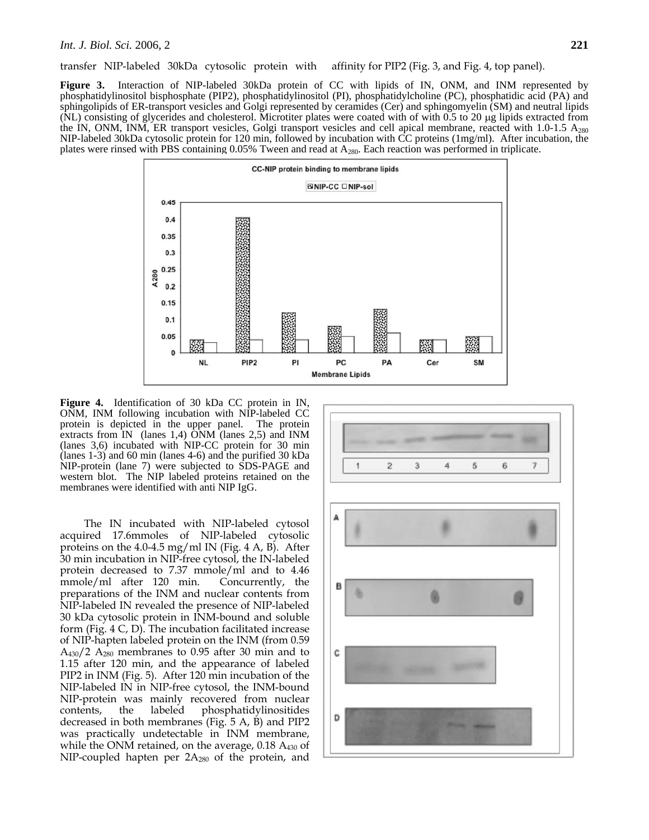**Figure 3.** Interaction of NIP-labeled 30kDa protein of CC with lipids of IN, ONM, and INM represented by phosphatidylinositol bisphosphate (PIP2), phosphatidylinositol (PI), phosphatidylcholine (PC), phosphatidic acid (PA) and sphingolipids of ER-transport vesicles and Golgi represented by ceramides (Cer) and sphingomyelin (SM) and neutral lipids (NL) consisting of glycerides and cholesterol. Microtiter plates were coated with of with 0.5 to 20 μg lipids extracted from the IN, ONM, INM, ER transport vesicles, Golgi transport vesicles and cell apical membrane, reacted with 1.0-1.5 A<sub>280</sub> NIP-labeled 30kDa cytosolic protein for 120 min, followed by incubation with CC proteins (1mg/ml). After incubation, the plates were rinsed with PBS containing 0.05% Tween and read at A280. Each reaction was performed in triplicate.

![](_page_5_Figure_3.jpeg)

**Figure 4.** Identification of 30 kDa CC protein in IN, ONM, INM following incubation with NIP-labeled CC protein is depicted in the upper panel. The protein extracts from IN (lanes 1,4) ONM (lanes 2,5) and INM (lanes 3,6) incubated with NIP-CC protein for 30 min (lanes 1-3) and 60 min (lanes 4-6) and the purified 30 kDa NIP-protein (lane 7) were subjected to SDS-PAGE and western blot. The NIP labeled proteins retained on the membranes were identified with anti NIP IgG.

The IN incubated with NIP-labeled cytosol acquired 17.6mmoles of NIP-labeled cytosolic proteins on the 4.0-4.5 mg/ml IN (Fig. 4 A, B). After 30 min incubation in NIP-free cytosol, the IN-labeled protein decreased to 7.37 mmole/ml and to 4.46 mmole/ml after 120 min. Concurrently, the preparations of the INM and nuclear contents from NIP-labeled IN revealed the presence of NIP-labeled 30 kDa cytosolic protein in INM-bound and soluble form (Fig. 4 C, D). The incubation facilitated increase of NIP-hapten labeled protein on the INM (from 0.59 A430/2 A280 membranes to 0.95 after 30 min and to 1.15 after 120 min, and the appearance of labeled PIP2 in INM (Fig. 5). After 120 min incubation of the NIP-labeled IN in NIP-free cytosol, the INM-bound NIP-protein was mainly recovered from nuclear contents, the labeled phosphatidylinositides decreased in both membranes (Fig. 5 A, B) and PIP2 was practically undetectable in INM membrane, while the ONM retained, on the average,  $0.18 A_{430}$  of NIP-coupled hapten per 2A<sub>280</sub> of the protein, and

![](_page_5_Figure_6.jpeg)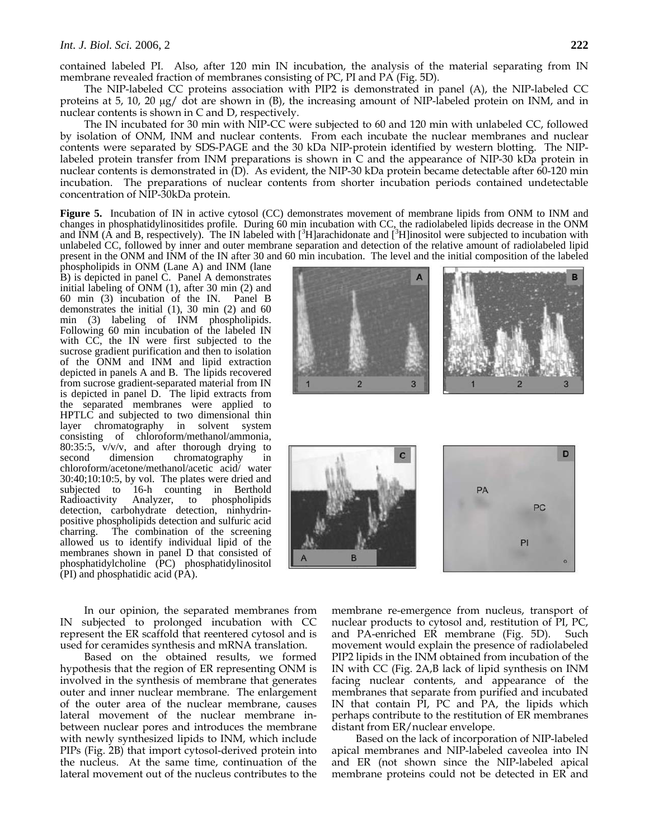contained labeled PI. Also, after 120 min IN incubation, the analysis of the material separating from IN membrane revealed fraction of membranes consisting of PC, PI and PA (Fig. 5D).

The NIP-labeled CC proteins association with PIP2 is demonstrated in panel (A), the NIP-labeled CC proteins at 5, 10, 20 μg/ dot are shown in (B), the increasing amount of NIP-labeled protein on INM, and in nuclear contents is shown in C and D, respectively.

The IN incubated for 30 min with NIP-CC were subjected to 60 and 120 min with unlabeled CC, followed by isolation of ONM, INM and nuclear contents. From each incubate the nuclear membranes and nuclear contents were separated by SDS-PAGE and the 30 kDa NIP-protein identified by western blotting. The NIPlabeled protein transfer from INM preparations is shown in C and the appearance of NIP-30 kDa protein in nuclear contents is demonstrated in (D). As evident, the NIP-30 kDa protein became detectable after 60-120 min incubation. The preparations of nuclear contents from shorter incubation periods contained undetectable concentration of NIP-30kDa protein.

**Figure 5.** Incubation of IN in active cytosol (CC) demonstrates movement of membrane lipids from ONM to INM and changes in phosphatidylinositides profile. During 60 min incubation with CC, the radiolabeled lipids decrease in the ONM and INM ( $\dot{A}$  and B, respectively). The IN labeled with  $[^{3}H]$ arachidonate and  $[^{3}H]$ inositol were subjected to incubation with unlabeled CC, followed by inner and outer membrane separation and detection of the relative amount of radiolabeled lipid present in the ONM and INM of the IN after 30 and 60 min incubation. The level and the initial composition of the labeled

phospholipids in ONM (Lane A) and INM (lane B) is depicted in panel C. Panel A demonstrates initial labeling of ONM (1), after 30 min (2) and 60 min (3) incubation of the IN. Panel B demonstrates the initial (1), 30 min (2) and 60 min (3) labeling of INM phospholipids. Following 60 min incubation of the labeled IN with CC, the IN were first subjected to the sucrose gradient purification and then to isolation of the ONM and INM and lipid extraction depicted in panels A and B. The lipids recovered from sucrose gradient-separated material from IN is depicted in panel D. The lipid extracts from the separated membranes were applied to HPTLC and subjected to two dimensional thin layer chromatography in solvent system consisting of chloroform/methanol/ammonia, 80:35:5,  $v/v/v$ , and after thorough drying to second dimension chromatography in chloroform/acetone/methanol/acetic acid/ water 30:40;10:10:5, by vol. The plates were dried and subjected to 16-h counting in Berthold Radioactivity Analyzer, to phospholipids detection, carbohydrate detection, ninhydrinpositive phospholipids detection and sulfuric acid charring. The combination of the screening The combination of the screening. allowed us to identify individual lipid of the membranes shown in panel D that consisted of phosphatidylcholine (PC) phosphatidylinositol (PI) and phosphatidic acid (PA).

![](_page_6_Figure_6.jpeg)

![](_page_6_Picture_7.jpeg)

In our opinion, the separated membranes from IN subjected to prolonged incubation with CC represent the ER scaffold that reentered cytosol and is used for ceramides synthesis and mRNA translation.

Based on the obtained results, we formed hypothesis that the region of ER representing ONM is involved in the synthesis of membrane that generates outer and inner nuclear membrane. The enlargement of the outer area of the nuclear membrane, causes lateral movement of the nuclear membrane inbetween nuclear pores and introduces the membrane with newly synthesized lipids to INM, which include PIPs (Fig. 2B) that import cytosol-derived protein into the nucleus. At the same time, continuation of the lateral movement out of the nucleus contributes to the membrane re-emergence from nucleus, transport of nuclear products to cytosol and, restitution of PI, PC, and PA-enriched ER membrane (Fig. 5D). Such movement would explain the presence of radiolabeled PIP2 lipids in the INM obtained from incubation of the IN with CC (Fig. 2A,B lack of lipid synthesis on INM facing nuclear contents, and appearance of the membranes that separate from purified and incubated IN that contain PI, PC and PA, the lipids which perhaps contribute to the restitution of ER membranes distant from ER/nuclear envelope.

Based on the lack of incorporation of NIP-labeled apical membranes and NIP-labeled caveolea into IN and ER (not shown since the NIP-labeled apical membrane proteins could not be detected in ER and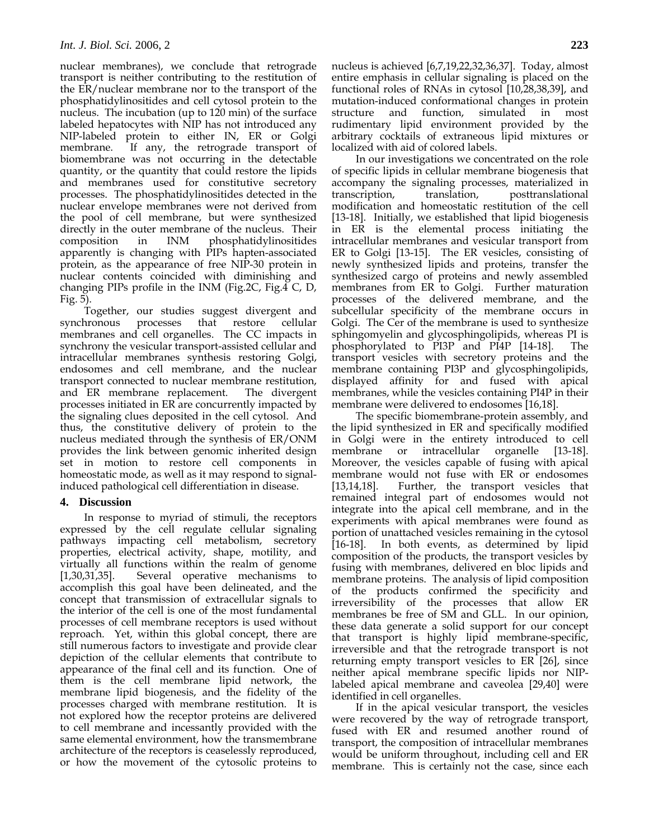nuclear membranes), we conclude that retrograde transport is neither contributing to the restitution of the ER/nuclear membrane nor to the transport of the phosphatidylinositides and cell cytosol protein to the nucleus. The incubation (up to 120 min) of the surface labeled hepatocytes with NIP has not introduced any NIP-labeled protein to either IN, ER or Golgi membrane. If any, the retrograde transport of biomembrane was not occurring in the detectable quantity, or the quantity that could restore the lipids and membranes used for constitutive secretory processes. The phosphatidylinositides detected in the nuclear envelope membranes were not derived from the pool of cell membrane, but were synthesized directly in the outer membrane of the nucleus. Their composition in INM phosphatidylinositides apparently is changing with PIPs hapten-associated protein, as the appearance of free NIP-30 protein in nuclear contents coincided with diminishing and changing PIPs profile in the INM (Fig.2C, Fig.4 C, D, Fig. 5).

Together, our studies suggest divergent and synchronous processes that restore cellular membranes and cell organelles. The CC impacts in synchrony the vesicular transport-assisted cellular and intracellular membranes synthesis restoring Golgi, endosomes and cell membrane, and the nuclear transport connected to nuclear membrane restitution, and ER membrane replacement. The divergent and ER membrane replacement. processes initiated in ER are concurrently impacted by the signaling clues deposited in the cell cytosol. And thus, the constitutive delivery of protein to the nucleus mediated through the synthesis of ER/ONM provides the link between genomic inherited design set in motion to restore cell components in homeostatic mode, as well as it may respond to signalinduced pathological cell differentiation in disease.

# **4. Discussion**

In response to myriad of stimuli, the receptors expressed by the cell regulate cellular signaling pathways impacting cell metabolism, secretory properties, electrical activity, shape, motility, and virtually all functions within the realm of genome [1,30,31,35]. Several operative mechanisms to accomplish this goal have been delineated, and the concept that transmission of extracellular signals to the interior of the cell is one of the most fundamental processes of cell membrane receptors is used without reproach. Yet, within this global concept, there are still numerous factors to investigate and provide clear depiction of the cellular elements that contribute to appearance of the final cell and its function. One of them is the cell membrane lipid network, the membrane lipid biogenesis, and the fidelity of the processes charged with membrane restitution. It is not explored how the receptor proteins are delivered to cell membrane and incessantly provided with the same elemental environment, how the transmembrane architecture of the receptors is ceaselessly reproduced, or how the movement of the cytosolic proteins to

nucleus is achieved [6,7,19,22,32,36,37]. Today, almost entire emphasis in cellular signaling is placed on the functional roles of RNAs in cytosol [10,28,38,39], and mutation-induced conformational changes in protein structure and function, simulated in most rudimentary lipid environment provided by the arbitrary cocktails of extraneous lipid mixtures or localized with aid of colored labels.

In our investigations we concentrated on the role of specific lipids in cellular membrane biogenesis that accompany the signaling processes, materialized in transcription, translation, posttranslational translation, posttranslational modification and homeostatic restitution of the cell [13-18]. Initially, we established that lipid biogenesis in ER is the elemental process initiating the intracellular membranes and vesicular transport from ER to Golgi [13-15]. The ER vesicles, consisting of newly synthesized lipids and proteins, transfer the synthesized cargo of proteins and newly assembled membranes from ER to Golgi. Further maturation processes of the delivered membrane, and the subcellular specificity of the membrane occurs in Golgi. The Cer of the membrane is used to synthesize sphingomyelin and glycosphingolipids, whereas PI is phosphorylated to PI3P and PI4P [14-18]. The transport vesicles with secretory proteins and the membrane containing PI3P and glycosphingolipids, displayed affinity for and fused with apical membranes, while the vesicles containing PI4P in their membrane were delivered to endosomes [16,18].

The specific biomembrane-protein assembly, and the lipid synthesized in ER and specifically modified in Golgi were in the entirety introduced to cell membrane or intracellular organelle [13-18]. Moreover, the vesicles capable of fusing with apical membrane would not fuse with ER or endosomes [13,14,18]. Further, the transport vesicles that remained integral part of endosomes would not integrate into the apical cell membrane, and in the experiments with apical membranes were found as portion of unattached vesicles remaining in the cytosol [16-18]. In both events, as determined by lipid composition of the products, the transport vesicles by fusing with membranes, delivered en bloc lipids and membrane proteins. The analysis of lipid composition of the products confirmed the specificity and irreversibility of the processes that allow ER membranes be free of SM and GLL. In our opinion, these data generate a solid support for our concept that transport is highly lipid membrane-specific, irreversible and that the retrograde transport is not returning empty transport vesicles to ER [26], since neither apical membrane specific lipids nor NIPlabeled apical membrane and caveolea [29,40] were identified in cell organelles.

If in the apical vesicular transport, the vesicles were recovered by the way of retrograde transport, fused with ER and resumed another round of transport, the composition of intracellular membranes would be uniform throughout, including cell and ER membrane. This is certainly not the case, since each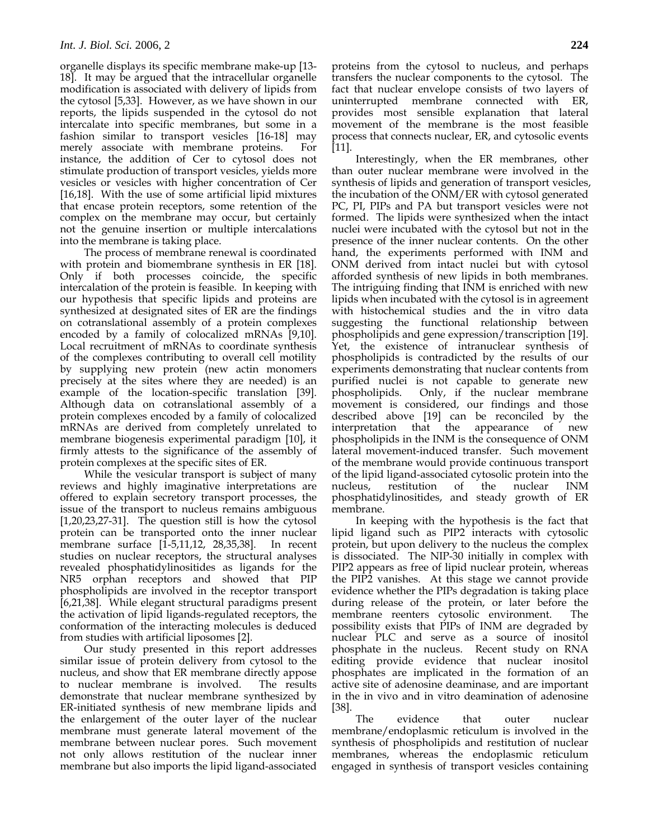organelle displays its specific membrane make-up [13- 18]. It may be argued that the intracellular organelle modification is associated with delivery of lipids from the cytosol [5,33]. However, as we have shown in our reports, the lipids suspended in the cytosol do not intercalate into specific membranes, but some in a fashion similar to transport vesicles [16-18] may merely associate with membrane proteins. For instance, the addition of Cer to cytosol does not stimulate production of transport vesicles, yields more vesicles or vesicles with higher concentration of Cer [16,18]. With the use of some artificial lipid mixtures that encase protein receptors, some retention of the complex on the membrane may occur, but certainly not the genuine insertion or multiple intercalations into the membrane is taking place.

The process of membrane renewal is coordinated with protein and biomembrane synthesis in ER [18]. Only if both processes coincide, the specific intercalation of the protein is feasible. In keeping with our hypothesis that specific lipids and proteins are synthesized at designated sites of ER are the findings on cotranslational assembly of a protein complexes encoded by a family of colocalized mRNAs [9,10]. Local recruitment of mRNAs to coordinate synthesis of the complexes contributing to overall cell motility by supplying new protein (new actin monomers precisely at the sites where they are needed) is an example of the location-specific translation [39]. Although data on cotranslational assembly of a protein complexes encoded by a family of colocalized mRNAs are derived from completely unrelated to membrane biogenesis experimental paradigm [10], it firmly attests to the significance of the assembly of protein complexes at the specific sites of ER.

While the vesicular transport is subject of many reviews and highly imaginative interpretations are offered to explain secretory transport processes, the issue of the transport to nucleus remains ambiguous [1,20,23,27-31]. The question still is how the cytosol protein can be transported onto the inner nuclear membrane surface [1-5,11,12, 28,35,38]. In recent studies on nuclear receptors, the structural analyses revealed phosphatidylinositides as ligands for the NR5 orphan receptors and showed that PIP phospholipids are involved in the receptor transport [6,21,38]. While elegant structural paradigms present the activation of lipid ligands-regulated receptors, the conformation of the interacting molecules is deduced from studies with artificial liposomes [2].

Our study presented in this report addresses similar issue of protein delivery from cytosol to the nucleus, and show that ER membrane directly appose to nuclear membrane is involved. The results demonstrate that nuclear membrane synthesized by ER-initiated synthesis of new membrane lipids and the enlargement of the outer layer of the nuclear membrane must generate lateral movement of the membrane between nuclear pores. Such movement not only allows restitution of the nuclear inner membrane but also imports the lipid ligand-associated

proteins from the cytosol to nucleus, and perhaps transfers the nuclear components to the cytosol. The fact that nuclear envelope consists of two layers of uninterrupted membrane connected with ER, provides most sensible explanation that lateral movement of the membrane is the most feasible process that connects nuclear, ER, and cytosolic events [11].

Interestingly, when the ER membranes, other than outer nuclear membrane were involved in the synthesis of lipids and generation of transport vesicles, the incubation of the ONM/ER with cytosol generated PC, PI, PIPs and PA but transport vesicles were not formed. The lipids were synthesized when the intact nuclei were incubated with the cytosol but not in the presence of the inner nuclear contents. On the other hand, the experiments performed with INM and ONM derived from intact nuclei but with cytosol afforded synthesis of new lipids in both membranes. The intriguing finding that INM is enriched with new lipids when incubated with the cytosol is in agreement with histochemical studies and the in vitro data suggesting the functional relationship between phospholipids and gene expression/transcription [19]. Yet, the existence of intranuclear synthesis of phospholipids is contradicted by the results of our experiments demonstrating that nuclear contents from purified nuclei is not capable to generate new phospholipids. Only, if the nuclear membrane movement is considered, our findings and those described above [19] can be reconciled by the interpretation that the appearance of new phospholipids in the INM is the consequence of ONM lateral movement-induced transfer. Such movement of the membrane would provide continuous transport of the lipid ligand-associated cytosolic protein into the nucleus, restitution of the nuclear INM phosphatidylinositides, and steady growth of ER membrane.

In keeping with the hypothesis is the fact that lipid ligand such as PIP2 interacts with cytosolic protein, but upon delivery to the nucleus the complex is dissociated. The NIP-30 initially in complex with PIP2 appears as free of lipid nuclear protein, whereas the PIP2 vanishes. At this stage we cannot provide evidence whether the PIPs degradation is taking place during release of the protein, or later before the membrane reenters cytosolic environment. The possibility exists that PIPs of INM are degraded by nuclear PLC and serve as a source of inositol phosphate in the nucleus. Recent study on RNA editing provide evidence that nuclear inositol phosphates are implicated in the formation of an active site of adenosine deaminase, and are important in the in vivo and in vitro deamination of adenosine [38].

The evidence that outer nuclear membrane/endoplasmic reticulum is involved in the synthesis of phospholipids and restitution of nuclear membranes, whereas the endoplasmic reticulum engaged in synthesis of transport vesicles containing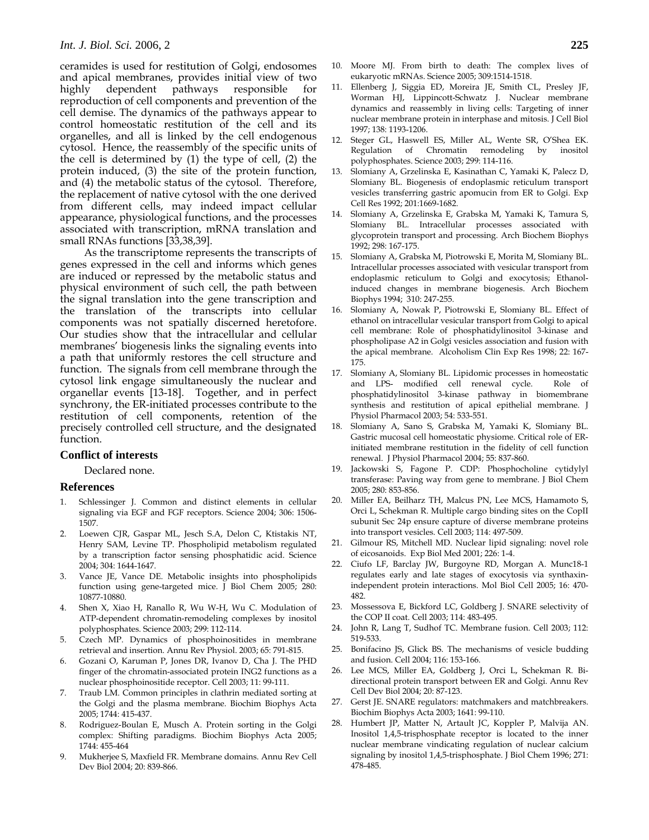ceramides is used for restitution of Golgi, endosomes and apical membranes, provides initial view of two<br>highly dependent pathways responsible for highly dependent pathways responsible for reproduction of cell components and prevention of the cell demise. The dynamics of the pathways appear to control homeostatic restitution of the cell and its organelles, and all is linked by the cell endogenous cytosol. Hence, the reassembly of the specific units of the cell is determined by (1) the type of cell, (2) the protein induced, (3) the site of the protein function, and (4) the metabolic status of the cytosol. Therefore, the replacement of native cytosol with the one derived from different cells, may indeed impact cellular appearance, physiological functions, and the processes associated with transcription, mRNA translation and small RNAs functions [33,38,39].

As the transcriptome represents the transcripts of genes expressed in the cell and informs which genes are induced or repressed by the metabolic status and physical environment of such cell, the path between the signal translation into the gene transcription and the translation of the transcripts into cellular components was not spatially discerned heretofore. Our studies show that the intracellular and cellular membranes' biogenesis links the signaling events into a path that uniformly restores the cell structure and function. The signals from cell membrane through the cytosol link engage simultaneously the nuclear and organellar events [13-18]. Together, and in perfect synchrony, the ER-initiated processes contribute to the restitution of cell components, retention of the precisely controlled cell structure, and the designated function.

#### **Conflict of interests**

Declared none.

#### **References**

- Schlessinger J. Common and distinct elements in cellular signaling via EGF and FGF receptors. Science 2004; 306: 1506- 1507.
- 2. Loewen CJR, Gaspar ML, Jesch S.A, Delon C, Ktistakis NT, Henry SAM, Levine TP. Phospholipid metabolism regulated by a transcription factor sensing phosphatidic acid. Science 2004; 304: 1644-1647.
- Vance JE, Vance DE. Metabolic insights into phospholipids function using gene-targeted mice. J Biol Chem 2005; 280: 10877-10880.
- 4. Shen X, Xiao H, Ranallo R, Wu W-H, Wu C. Modulation of ATP-dependent chromatin-remodeling complexes by inositol polyphosphates. Science 2003; 299: 112-114.
- 5. Czech MP. Dynamics of phosphoinositides in membrane retrieval and insertion. Annu Rev Physiol. 2003; 65: 791-815.
- 6. Gozani O, Karuman P, Jones DR, Ivanov D, Cha J. The PHD finger of the chromatin-associated protein ING2 functions as a nuclear phosphoinositide receptor. Cell 2003; 11: 99-111.
- 7. Traub LM. Common principles in clathrin mediated sorting at the Golgi and the plasma membrane. Biochim Biophys Acta 2005; 1744: 415-437.
- Rodriguez-Boulan E, Musch A. Protein sorting in the Golgi complex: Shifting paradigms. Biochim Biophys Acta 2005; 1744: 455-464
- 9. Mukherjee S, Maxfield FR. Membrane domains. Annu Rev Cell Dev Biol 2004; 20: 839-866.
- 10. Moore MJ. From birth to death: The complex lives of eukaryotic mRNAs. Science 2005; 309:1514-1518.
- 11. Ellenberg J, Siggia ED, Moreira JE, Smith CL, Presley JF, Worman HJ, Lippincott-Schwatz J. Nuclear membrane dynamics and reassembly in living cells: Targeting of inner nuclear membrane protein in interphase and mitosis. J Cell Biol 1997; 138: 1193-1206.
- 12. Steger GL, Haswell ES, Miller AL, Wente SR, O'Shea EK. Regulation of Chromatin remodeling by inositol polyphosphates. Science 2003; 299: 114-116.
- 13. Slomiany A, Grzelinska E, Kasinathan C, Yamaki K, Palecz D, Slomiany BL. Biogenesis of endoplasmic reticulum transport vesicles transferring gastric apomucin from ER to Golgi. Exp Cell Res 1992; 201:1669-1682.
- 14. Slomiany A, Grzelinska E, Grabska M, Yamaki K, Tamura S, Slomiany BL. Intracellular processes associated with glycoprotein transport and processing. Arch Biochem Biophys 1992; 298: 167-175.
- 15. Slomiany A, Grabska M, Piotrowski E, Morita M, Slomiany BL. Intracellular processes associated with vesicular transport from endoplasmic reticulum to Golgi and exocytosis; Ethanolinduced changes in membrane biogenesis. Arch Biochem Biophys 1994; 310: 247-255.
- 16. Slomiany A, Nowak P, Piotrowski E, Slomiany BL. Effect of ethanol on intracellular vesicular transport from Golgi to apical cell membrane: Role of phosphatidylinositol 3-kinase and phospholipase A2 in Golgi vesicles association and fusion with the apical membrane. Alcoholism Clin Exp Res 1998; 22: 167- 175.
- 17. Slomiany A, Slomiany BL. Lipidomic processes in homeostatic and LPS- modified cell renewal cycle. Role of phosphatidylinositol 3-kinase pathway in biomembrane synthesis and restitution of apical epithelial membrane. J Physiol Pharmacol 2003; 54: 533-551.
- 18. Slomiany A, Sano S, Grabska M, Yamaki K, Slomiany BL. Gastric mucosal cell homeostatic physiome. Critical role of ERinitiated membrane restitution in the fidelity of cell function renewal. J Physiol Pharmacol 2004; 55: 837-860.
- 19. Jackowski S, Fagone P. CDP: Phosphocholine cytidylyl transferase: Paving way from gene to membrane. J Biol Chem 2005; 280: 853-856.
- 20. Miller EA, Beilharz TH, Malcus PN, Lee MCS, Hamamoto S, Orci L, Schekman R. Multiple cargo binding sites on the CopII subunit Sec 24p ensure capture of diverse membrane proteins into transport vesicles. Cell 2003; 114: 497-509.
- 21. Gilmour RS, Mitchell MD. Nuclear lipid signaling: novel role of eicosanoids. Exp Biol Med 2001; 226: 1-4.
- 22. Ciufo LF, Barclay JW, Burgoyne RD, Morgan A. Munc18-1 regulates early and late stages of exocytosis via synthaxinindependent protein interactions. Mol Biol Cell 2005; 16: 470- 482.
- 23. Mossessova E, Bickford LC, Goldberg J. SNARE selectivity of the COP II coat. Cell 2003; 114: 483-495.
- 24. John R, Lang T, Sudhof TC. Membrane fusion. Cell 2003; 112: 519-533.
- 25. Bonifacino JS, Glick BS. The mechanisms of vesicle budding and fusion. Cell 2004; 116: 153-166.
- 26. Lee MCS, Miller EA, Goldberg J, Orci L, Schekman R. Bidirectional protein transport between ER and Golgi. Annu Rev Cell Dev Biol 2004; 20: 87-123.
- 27. Gerst JE. SNARE regulators: matchmakers and matchbreakers. Biochim Biophys Acta 2003; 1641: 99-110.
- 28. Humbert JP, Matter N, Artault JC, Koppler P, Malvija AN. Inositol 1,4,5-trisphosphate receptor is located to the inner nuclear membrane vindicating regulation of nuclear calcium signaling by inositol 1,4,5-trisphosphate. J Biol Chem 1996; 271: 478-485.